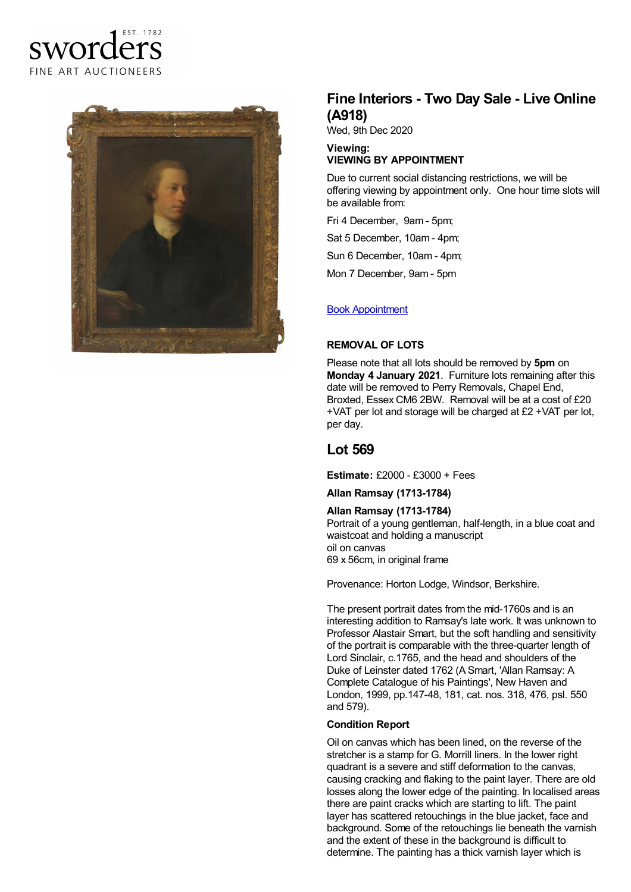



# **Fine Interiors - Two Day Sale - Live Online (A918)**

Wed, 9th Dec 2020

#### **Viewing: VIEWING BY APPOINTMENT**

Due to current social distancing restrictions, we will be offering viewing by appointment only. One hour time slots will be available from:

Fri 4 December, 9am - 5pm;

Sat 5 December, 10am - 4pm;

Sun 6 December, 10am - 4pm;

Mon 7 December, 9am - 5pm

### Book [Appointment](https://www.sworder.co.uk/appointments/)

#### **REMOVAL OF LOTS**

Please note that all lots should be removed by **5pm** on **Monday 4 January 2021**. Furniture lots remaining after this date will be removed to Perry Removals, Chapel End, Broxted, Essex CM6 2BW. Removal will be at a cost of £20 +VAT per lot and storage will be charged at £2 +VAT per lot, per day.

## **Lot 569**

**Estimate:** £2000 - £3000 + Fees

#### **Allan Ramsay (1713-1784)**

**Allan Ramsay (1713-1784)** Portrait of a young gentleman, half-length, in a blue coat and waistcoat and holding a manuscript oil on canvas 69 x 56cm, in original frame

Provenance: Horton Lodge, Windsor, Berkshire.

The present portrait dates from the mid-1760s and is an interesting addition to Ramsay's late work. It was unknown to Professor Alastair Smart, but the soft handling and sensitivity of the portrait is comparable with the three-quarter length of Lord Sinclair, c.1765, and the head and shoulders of the Duke of Leinster dated 1762 (A Smart, 'Allan Ramsay: A Complete Catalogue of his Paintings', New Haven and London, 1999, pp.147-48, 181, cat. nos. 318, 476, psl. 550 and 579).

#### **Condition Report**

Oil on canvas which has been lined, on the reverse of the stretcher is a stamp for G. Morrill liners. In the lower right quadrant is a severe and stiff deformation to the canvas, causing cracking and flaking to the paint layer. There are old losses along the lower edge of the painting. In localised areas there are paint cracks which are starting to lift. The paint layer has scattered retouchings in the blue jacket, face and background. Some of the retouchings lie beneath the varnish and the extent of these in the background is difficult to determine. The painting has a thick varnish layer which is